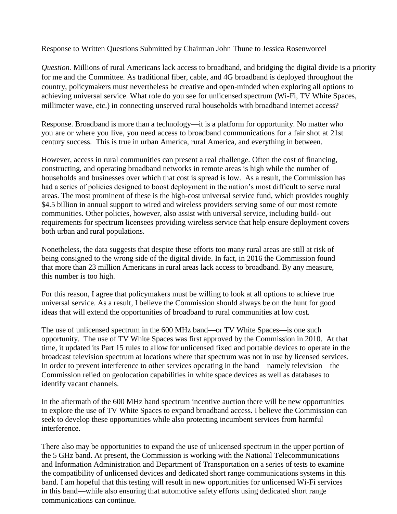Response to Written Questions Submitted by Chairman John Thune to Jessica Rosenworcel

*Question.* Millions of rural Americans lack access to broadband, and bridging the digital divide is a priority for me and the Committee. As traditional fiber, cable, and 4G broadband is deployed throughout the country, policymakers must nevertheless be creative and open-minded when exploring all options to achieving universal service. What role do you see for unlicensed spectrum (Wi-Fi, TV White Spaces, millimeter wave, etc.) in connecting unserved rural households with broadband internet access?

Response. Broadband is more than a technology—it is a platform for opportunity. No matter who you are or where you live, you need access to broadband communications for a fair shot at 21st century success. This is true in urban America, rural America, and everything in between.

However, access in rural communities can present a real challenge. Often the cost of financing, constructing, and operating broadband networks in remote areas is high while the number of households and businesses over which that cost is spread is low. As a result, the Commission has had a series of policies designed to boost deployment in the nation's most difficult to serve rural areas. The most prominent of these is the high-cost universal service fund, which provides roughly \$4.5 billion in annual support to wired and wireless providers serving some of our most remote communities. Other policies, however, also assist with universal service, including build- out requirements for spectrum licensees providing wireless service that help ensure deployment covers both urban and rural populations.

Nonetheless, the data suggests that despite these efforts too many rural areas are still at risk of being consigned to the wrong side of the digital divide. In fact, in 2016 the Commission found that more than 23 million Americans in rural areas lack access to broadband. By any measure, this number is too high.

For this reason, I agree that policymakers must be willing to look at all options to achieve true universal service. As a result, I believe the Commission should always be on the hunt for good ideas that will extend the opportunities of broadband to rural communities at low cost.

The use of unlicensed spectrum in the 600 MHz band—or TV White Spaces—is one such opportunity. The use of TV White Spaces was first approved by the Commission in 2010. At that time, it updated its Part 15 rules to allow for unlicensed fixed and portable devices to operate in the broadcast television spectrum at locations where that spectrum was not in use by licensed services. In order to prevent interference to other services operating in the band—namely television—the Commission relied on geolocation capabilities in white space devices as well as databases to identify vacant channels.

In the aftermath of the 600 MHz band spectrum incentive auction there will be new opportunities to explore the use of TV White Spaces to expand broadband access. I believe the Commission can seek to develop these opportunities while also protecting incumbent services from harmful interference.

There also may be opportunities to expand the use of unlicensed spectrum in the upper portion of the 5 GHz band. At present, the Commission is working with the National Telecommunications and Information Administration and Department of Transportation on a series of tests to examine the compatibility of unlicensed devices and dedicated short range communications systems in this band. I am hopeful that this testing will result in new opportunities for unlicensed Wi-Fi services in this band—while also ensuring that automotive safety efforts using dedicated short range communications can continue.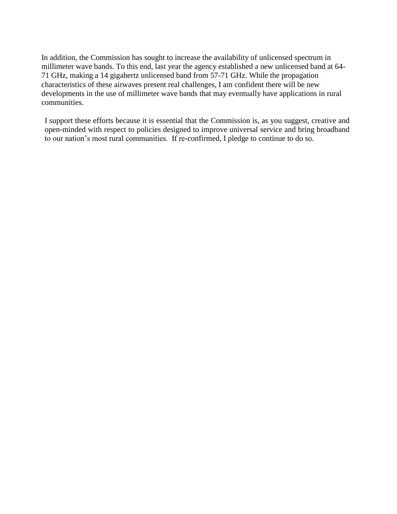In addition, the Commission has sought to increase the availability of unlicensed spectrum in millimeter wave bands. To this end, last year the agency established a new unlicensed band at 64- 71 GHz, making a 14 gigahertz unlicensed band from 57-71 GHz. While the propagation characteristics of these airwaves present real challenges, I am confident there will be new developments in the use of millimeter wave bands that may eventually have applications in rural communities.

I support these efforts because it is essential that the Commission is, as you suggest, creative and open-minded with respect to policies designed to improve universal service and bring broadband to our nation's most rural communities. If re-confirmed, I pledge to continue to do so.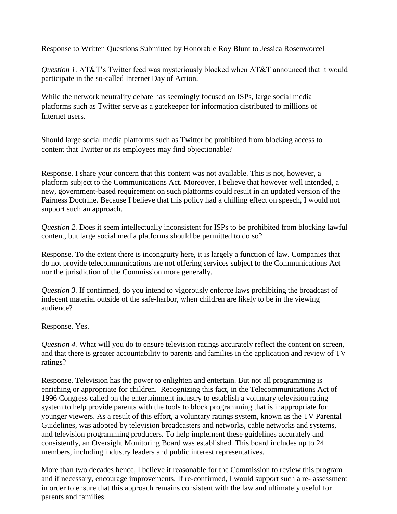Response to Written Questions Submitted by Honorable Roy Blunt to Jessica Rosenworcel

*Question 1.* AT&T's Twitter feed was mysteriously blocked when AT&T announced that it would participate in the so-called Internet Day of Action.

While the network neutrality debate has seemingly focused on ISPs, large social media platforms such as Twitter serve as a gatekeeper for information distributed to millions of Internet users.

Should large social media platforms such as Twitter be prohibited from blocking access to content that Twitter or its employees may find objectionable?

Response. I share your concern that this content was not available. This is not, however, a platform subject to the Communications Act. Moreover, I believe that however well intended, a new, government-based requirement on such platforms could result in an updated version of the Fairness Doctrine. Because I believe that this policy had a chilling effect on speech, I would not support such an approach.

*Question 2.* Does it seem intellectually inconsistent for ISPs to be prohibited from blocking lawful content, but large social media platforms should be permitted to do so?

Response. To the extent there is incongruity here, it is largely a function of law. Companies that do not provide telecommunications are not offering services subject to the Communications Act nor the jurisdiction of the Commission more generally.

*Question 3.* If confirmed, do you intend to vigorously enforce laws prohibiting the broadcast of indecent material outside of the safe-harbor, when children are likely to be in the viewing audience?

Response. Yes.

*Question 4.* What will you do to ensure television ratings accurately reflect the content on screen, and that there is greater accountability to parents and families in the application and review of TV ratings?

Response. Television has the power to enlighten and entertain. But not all programming is enriching or appropriate for children. Recognizing this fact, in the Telecommunications Act of 1996 Congress called on the entertainment industry to establish a voluntary television rating system to help provide parents with the tools to block programming that is inappropriate for younger viewers. As a result of this effort, a voluntary ratings system, known as the TV Parental Guidelines, was adopted by television broadcasters and networks, cable networks and systems, and television programming producers. To help implement these guidelines accurately and consistently, an Oversight Monitoring Board was established. This board includes up to 24 members, including industry leaders and public interest representatives.

More than two decades hence, I believe it reasonable for the Commission to review this program and if necessary, encourage improvements. If re-confirmed, I would support such a re- assessment in order to ensure that this approach remains consistent with the law and ultimately useful for parents and families.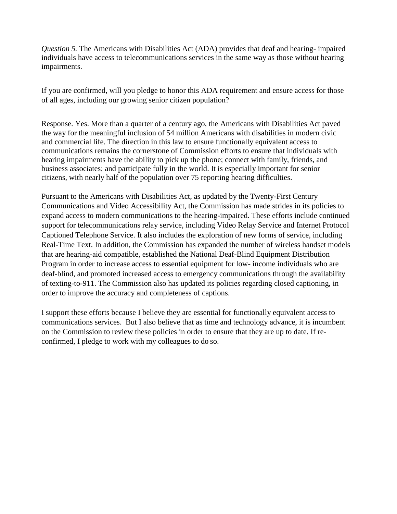*Question 5.* The Americans with Disabilities Act (ADA) provides that deaf and hearing- impaired individuals have access to telecommunications services in the same way as those without hearing impairments.

If you are confirmed, will you pledge to honor this ADA requirement and ensure access for those of all ages, including our growing senior citizen population?

Response. Yes. More than a quarter of a century ago, the Americans with Disabilities Act paved the way for the meaningful inclusion of 54 million Americans with disabilities in modern civic and commercial life. The direction in this law to ensure functionally equivalent access to communications remains the cornerstone of Commission efforts to ensure that individuals with hearing impairments have the ability to pick up the phone; connect with family, friends, and business associates; and participate fully in the world. It is especially important for senior citizens, with nearly half of the population over 75 reporting hearing difficulties.

Pursuant to the Americans with Disabilities Act, as updated by the Twenty-First Century Communications and Video Accessibility Act, the Commission has made strides in its policies to expand access to modern communications to the hearing-impaired. These efforts include continued support for telecommunications relay service, including Video Relay Service and Internet Protocol Captioned Telephone Service. It also includes the exploration of new forms of service, including Real-Time Text. In addition, the Commission has expanded the number of wireless handset models that are hearing-aid compatible, established the National Deaf-Blind Equipment Distribution Program in order to increase access to essential equipment for low- income individuals who are deaf-blind, and promoted increased access to emergency communications through the availability of texting-to-911. The Commission also has updated its policies regarding closed captioning, in order to improve the accuracy and completeness of captions.

I support these efforts because I believe they are essential for functionally equivalent access to communications services. But I also believe that as time and technology advance, it is incumbent on the Commission to review these policies in order to ensure that they are up to date. If reconfirmed, I pledge to work with my colleagues to do so.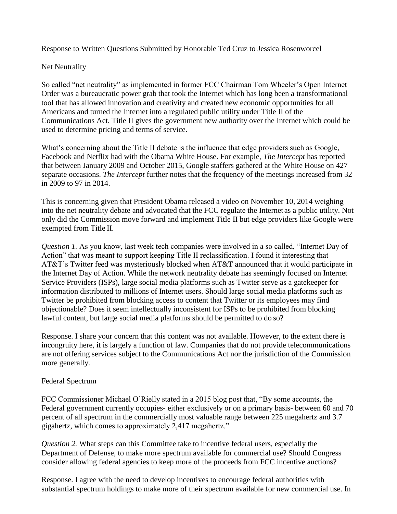Response to Written Questions Submitted by Honorable Ted Cruz to Jessica Rosenworcel

## Net Neutrality

So called "net neutrality" as implemented in former FCC Chairman Tom Wheeler's Open Internet Order was a bureaucratic power grab that took the Internet which has long been a transformational tool that has allowed innovation and creativity and created new economic opportunities for all Americans and turned the Internet into a regulated public utility under Title II of the Communications Act. Title II gives the government new authority over the Internet which could be used to determine pricing and terms of service.

What's concerning about the Title II debate is the influence that edge providers such as Google, Facebook and Netflix had with the Obama White House. For example, *The Intercept* has reported that between January 2009 and October 2015, Google staffers gathered at the White House on 427 separate occasions. *The Intercept* further notes that the frequency of the meetings increased from 32 in 2009 to 97 in 2014.

This is concerning given that President Obama released a video on November 10, 2014 weighing into the net neutrality debate and advocated that the FCC regulate the Internet as a public utility. Not only did the Commission move forward and implement Title II but edge providers like Google were exempted from Title II.

*Question 1.* As you know, last week tech companies were involved in a so called, "Internet Day of Action" that was meant to support keeping Title II reclassification. I found it interesting that AT&T's Twitter feed was mysteriously blocked when AT&T announced that it would participate in the Internet Day of Action. While the network neutrality debate has seemingly focused on Internet Service Providers (ISPs), large social media platforms such as Twitter serve as a gatekeeper for information distributed to millions of Internet users. Should large social media platforms such as Twitter be prohibited from blocking access to content that Twitter or its employees may find objectionable? Does it seem intellectually inconsistent for ISPs to be prohibited from blocking lawful content, but large social media platforms should be permitted to do so?

Response. I share your concern that this content was not available. However, to the extent there is incongruity here, it is largely a function of law. Companies that do not provide telecommunications are not offering services subject to the Communications Act nor the jurisdiction of the Commission more generally.

# Federal Spectrum

FCC Commissioner Michael O'Rielly stated in a 2015 blog post that, "By some accounts, the Federal government currently occupies- either exclusively or on a primary basis- between 60 and 70 percent of all spectrum in the commercially most valuable range between 225 megahertz and 3.7 gigahertz, which comes to approximately 2,417 megahertz."

*Question 2.* What steps can this Committee take to incentive federal users, especially the Department of Defense, to make more spectrum available for commercial use? Should Congress consider allowing federal agencies to keep more of the proceeds from FCC incentive auctions?

Response. I agree with the need to develop incentives to encourage federal authorities with substantial spectrum holdings to make more of their spectrum available for new commercial use. In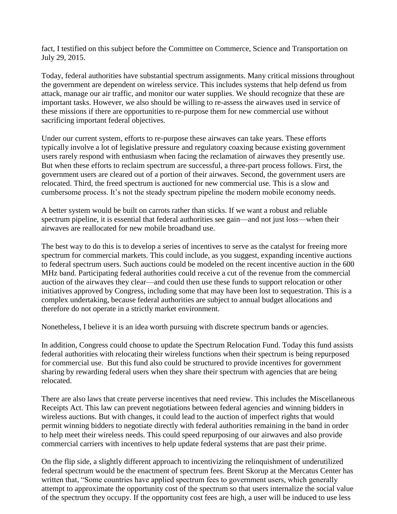fact, I testified on this subject before the Committee on Commerce, Science and Transportation on July 29, 2015.

Today, federal authorities have substantial spectrum assignments. Many critical missions throughout the government are dependent on wireless service. This includes systems that help defend us from attack, manage our air traffic, and monitor our water supplies. We should recognize that these are important tasks. However, we also should be willing to re-assess the airwaves used in service of these missions if there are opportunities to re-purpose them for new commercial use without sacrificing important federal objectives.

Under our current system, efforts to re-purpose these airwaves can take years. These efforts typically involve a lot of legislative pressure and regulatory coaxing because existing government users rarely respond with enthusiasm when facing the reclamation of airwaves they presently use. But when these efforts to reclaim spectrum are successful, a three-part process follows. First, the government users are cleared out of a portion of their airwaves. Second, the government users are relocated. Third, the freed spectrum is auctioned for new commercial use. This is a slow and cumbersome process. It's not the steady spectrum pipeline the modern mobile economy needs.

A better system would be built on carrots rather than sticks. If we want a robust and reliable spectrum pipeline, it is essential that federal authorities see gain—and not just loss—when their airwaves are reallocated for new mobile broadband use.

The best way to do this is to develop a series of incentives to serve as the catalyst for freeing more spectrum for commercial markets. This could include, as you suggest, expanding incentive auctions to federal spectrum users. Such auctions could be modeled on the recent incentive auction in the 600 MHz band. Participating federal authorities could receive a cut of the revenue from the commercial auction of the airwaves they clear—and could then use these funds to support relocation or other initiatives approved by Congress, including some that may have been lost to sequestration. This is a complex undertaking, because federal authorities are subject to annual budget allocations and therefore do not operate in a strictly market environment.

Nonetheless, I believe it is an idea worth pursuing with discrete spectrum bands or agencies.

In addition, Congress could choose to update the Spectrum Relocation Fund. Today this fund assists federal authorities with relocating their wireless functions when their spectrum is being repurposed for commercial use. But this fund also could be structured to provide incentives for government sharing by rewarding federal users when they share their spectrum with agencies that are being relocated.

There are also laws that create perverse incentives that need review. This includes the Miscellaneous Receipts Act. This law can prevent negotiations between federal agencies and winning bidders in wireless auctions. But with changes, it could lead to the auction of imperfect rights that would permit winning bidders to negotiate directly with federal authorities remaining in the band in order to help meet their wireless needs. This could speed repurposing of our airwaves and also provide commercial carriers with incentives to help update federal systems that are past their prime.

On the flip side, a slightly different approach to incentivizing the relinquishment of underutilized federal spectrum would be the enactment of spectrum fees. Brent Skorup at the Mercatus Center has written that, "Some countries have applied spectrum fees to government users, which generally attempt to approximate the opportunity cost of the spectrum so that users internalize the social value of the spectrum they occupy. If the opportunity cost fees are high, a user will be induced to use less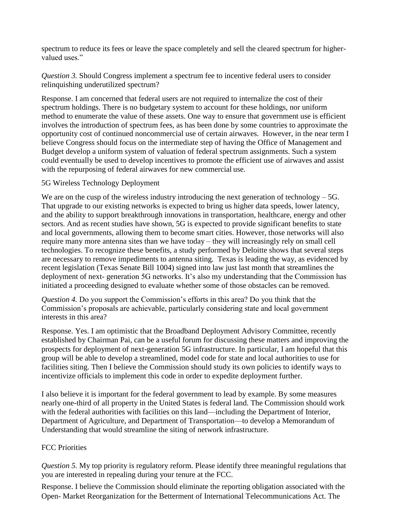spectrum to reduce its fees or leave the space completely and sell the cleared spectrum for highervalued uses."

*Question 3.* Should Congress implement a spectrum fee to incentive federal users to consider relinquishing underutilized spectrum?

Response. I am concerned that federal users are not required to internalize the cost of their spectrum holdings. There is no budgetary system to account for these holdings, nor uniform method to enumerate the value of these assets. One way to ensure that government use is efficient involves the introduction of spectrum fees, as has been done by some countries to approximate the opportunity cost of continued noncommercial use of certain airwaves. However, in the near term I believe Congress should focus on the intermediate step of having the Office of Management and Budget develop a uniform system of valuation of federal spectrum assignments. Such a system could eventually be used to develop incentives to promote the efficient use of airwaves and assist with the repurposing of federal airwaves for new commercial use.

## 5G Wireless Technology Deployment

We are on the cusp of the wireless industry introducing the next generation of technology – 5G. That upgrade to our existing networks is expected to bring us higher data speeds, lower latency, and the ability to support breakthrough innovations in transportation, healthcare, energy and other sectors. And as recent studies have shown, 5G is expected to provide significant benefits to state and local governments, allowing them to become smart cities. However, those networks will also require many more antenna sites than we have today – they will increasingly rely on small cell technologies. To recognize these benefits, a study performed by Deloitte shows that several steps are necessary to remove impediments to antenna siting. Texas is leading the way, as evidenced by recent legislation (Texas Senate Bill 1004) signed into law just last month that streamlines the deployment of next- generation 5G networks. It's also my understanding that the Commission has initiated a proceeding designed to evaluate whether some of those obstacles can be removed.

*Question 4.* Do you support the Commission's efforts in this area? Do you think that the Commission's proposals are achievable, particularly considering state and local government interests in this area?

Response. Yes. I am optimistic that the Broadband Deployment Advisory Committee, recently established by Chairman Pai, can be a useful forum for discussing these matters and improving the prospects for deployment of next-generation 5G infrastructure. In particular, I am hopeful that this group will be able to develop a streamlined, model code for state and local authorities to use for facilities siting. Then I believe the Commission should study its own policies to identify ways to incentivize officials to implement this code in order to expedite deployment further.

I also believe it is important for the federal government to lead by example. By some measures nearly one-third of all property in the United States is federal land. The Commission should work with the federal authorities with facilities on this land—including the Department of Interior, Department of Agriculture, and Department of Transportation—to develop a Memorandum of Understanding that would streamline the siting of network infrastructure.

# FCC Priorities

*Question 5.* My top priority is regulatory reform. Please identify three meaningful regulations that you are interested in repealing during your tenure at the FCC.

Response. I believe the Commission should eliminate the reporting obligation associated with the Open- Market Reorganization for the Betterment of International Telecommunications Act. The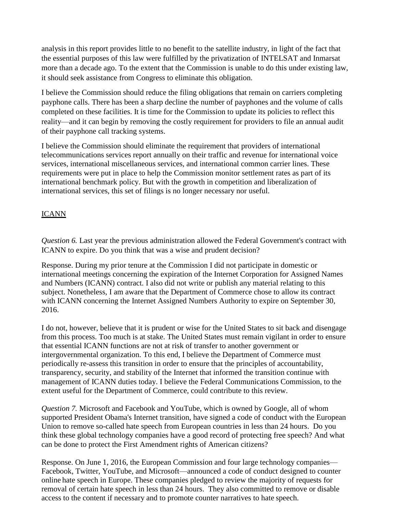analysis in this report provides little to no benefit to the satellite industry, in light of the fact that the essential purposes of this law were fulfilled by the privatization of INTELSAT and Inmarsat more than a decade ago. To the extent that the Commission is unable to do this under existing law, it should seek assistance from Congress to eliminate this obligation.

I believe the Commission should reduce the filing obligations that remain on carriers completing payphone calls. There has been a sharp decline the number of payphones and the volume of calls completed on these facilities. It is time for the Commission to update its policies to reflect this reality—and it can begin by removing the costly requirement for providers to file an annual audit of their payphone call tracking systems.

I believe the Commission should eliminate the requirement that providers of international telecommunications services report annually on their traffic and revenue for international voice services, international miscellaneous services, and international common carrier lines. These requirements were put in place to help the Commission monitor settlement rates as part of its international benchmark policy. But with the growth in competition and liberalization of international services, this set of filings is no longer necessary nor useful.

# **ICANN**

*Question 6.* Last year the previous administration allowed the Federal Government's contract with ICANN to expire. Do you think that was a wise and prudent decision?

Response. During my prior tenure at the Commission I did not participate in domestic or international meetings concerning the expiration of the Internet Corporation for Assigned Names and Numbers (ICANN) contract. I also did not write or publish any material relating to this subject. Nonetheless, I am aware that the Department of Commerce chose to allow its contract with ICANN concerning the Internet Assigned Numbers Authority to expire on September 30, 2016.

I do not, however, believe that it is prudent or wise for the United States to sit back and disengage from this process. Too much is at stake. The United States must remain vigilant in order to ensure that essential ICANN functions are not at risk of transfer to another government or intergovernmental organization. To this end, I believe the Department of Commerce must periodically re-assess this transition in order to ensure that the principles of accountability, transparency, security, and stability of the Internet that informed the transition continue with management of ICANN duties today. I believe the Federal Communications Commission, to the extent useful for the Department of Commerce, could contribute to this review.

*Question 7.* Microsoft and Facebook and YouTube, which is owned by Google, all of whom supported President Obama's Internet transition, have signed a code of conduct with the European Union to remove so-called hate speech from European countries in less than 24 hours. Do you think these global technology companies have a good record of protecting free speech? And what can be done to protect the First Amendment rights of American citizens?

Response. On June 1, 2016, the European Commission and four large technology companies— Facebook, Twitter, YouTube, and Microsoft—announced a code of conduct designed to counter online hate speech in Europe. These companies pledged to review the majority of requests for removal of certain hate speech in less than 24 hours. They also committed to remove or disable access to the content if necessary and to promote counter narratives to hate speech.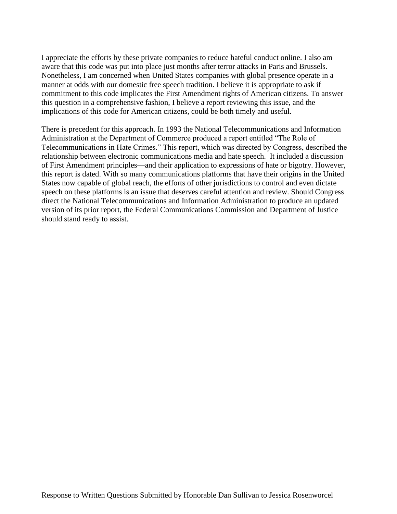I appreciate the efforts by these private companies to reduce hateful conduct online. I also am aware that this code was put into place just months after terror attacks in Paris and Brussels. Nonetheless, I am concerned when United States companies with global presence operate in a manner at odds with our domestic free speech tradition. I believe it is appropriate to ask if commitment to this code implicates the First Amendment rights of American citizens. To answer this question in a comprehensive fashion, I believe a report reviewing this issue, and the implications of this code for American citizens, could be both timely and useful.

There is precedent for this approach. In 1993 the National Telecommunications and Information Administration at the Department of Commerce produced a report entitled "The Role of Telecommunications in Hate Crimes." This report, which was directed by Congress, described the relationship between electronic communications media and hate speech. It included a discussion of First Amendment principles—and their application to expressions of hate or bigotry. However, this report is dated. With so many communications platforms that have their origins in the United States now capable of global reach, the efforts of other jurisdictions to control and even dictate speech on these platforms is an issue that deserves careful attention and review. Should Congress direct the National Telecommunications and Information Administration to produce an updated version of its prior report, the Federal Communications Commission and Department of Justice should stand ready to assist.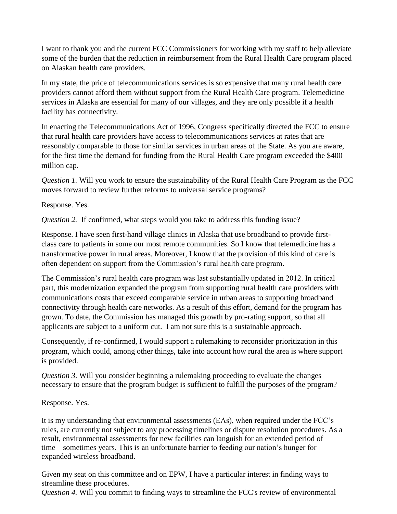I want to thank you and the current FCC Commissioners for working with my staff to help alleviate some of the burden that the reduction in reimbursement from the Rural Health Care program placed on Alaskan health care providers.

In my state, the price of telecommunications services is so expensive that many rural health care providers cannot afford them without support from the Rural Health Care program. Telemedicine services in Alaska are essential for many of our villages, and they are only possible if a health facility has connectivity.

In enacting the Telecommunications Act of 1996, Congress specifically directed the FCC to ensure that rural health care providers have access to telecommunications services at rates that are reasonably comparable to those for similar services in urban areas of the State. As you are aware, for the first time the demand for funding from the Rural Health Care program exceeded the \$400 million cap.

*Question 1.* Will you work to ensure the sustainability of the Rural Health Care Program as the FCC moves forward to review further reforms to universal service programs?

Response. Yes.

*Question 2.* If confirmed, what steps would you take to address this funding issue?

Response. I have seen first-hand village clinics in Alaska that use broadband to provide firstclass care to patients in some our most remote communities. So I know that telemedicine has a transformative power in rural areas. Moreover, I know that the provision of this kind of care is often dependent on support from the Commission's rural health care program.

The Commission's rural health care program was last substantially updated in 2012. In critical part, this modernization expanded the program from supporting rural health care providers with communications costs that exceed comparable service in urban areas to supporting broadband connectivity through health care networks. As a result of this effort, demand for the program has grown. To date, the Commission has managed this growth by pro-rating support, so that all applicants are subject to a uniform cut. I am not sure this is a sustainable approach.

Consequently, if re-confirmed, I would support a rulemaking to reconsider prioritization in this program, which could, among other things, take into account how rural the area is where support is provided.

*Question 3.* Will you consider beginning a rulemaking proceeding to evaluate the changes necessary to ensure that the program budget is sufficient to fulfill the purposes of the program?

Response. Yes.

It is my understanding that environmental assessments (EAs), when required under the FCC's rules, are currently not subject to any processing timelines or dispute resolution procedures. As a result, environmental assessments for new facilities can languish for an extended period of time—sometimes years. This is an unfortunate barrier to feeding our nation's hunger for expanded wireless broadband.

Given my seat on this committee and on EPW, I have a particular interest in finding ways to streamline these procedures.

*Question 4.* Will you commit to finding ways to streamline the FCC's review of environmental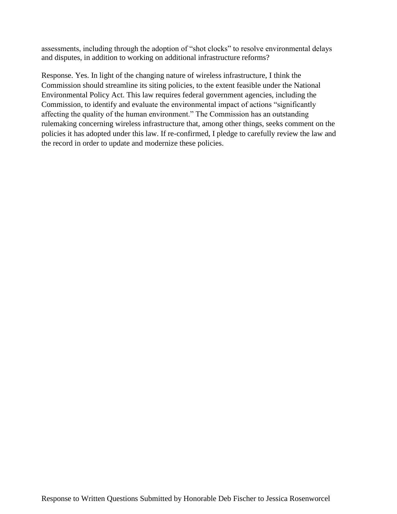assessments, including through the adoption of "shot clocks" to resolve environmental delays and disputes, in addition to working on additional infrastructure reforms?

Response. Yes. In light of the changing nature of wireless infrastructure, I think the Commission should streamline its siting policies, to the extent feasible under the National Environmental Policy Act. This law requires federal government agencies, including the Commission, to identify and evaluate the environmental impact of actions "significantly affecting the quality of the human environment." The Commission has an outstanding rulemaking concerning wireless infrastructure that, among other things, seeks comment on the policies it has adopted under this law. If re-confirmed, I pledge to carefully review the law and the record in order to update and modernize these policies.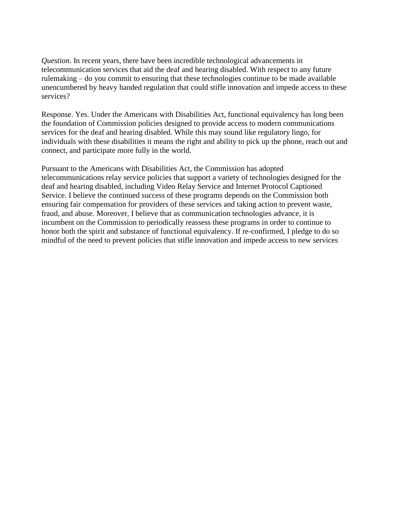*Question.* In recent years, there have been incredible technological advancements in telecommunication services that aid the deaf and hearing disabled. With respect to any future rulemaking – do you commit to ensuring that these technologies continue to be made available unencumbered by heavy handed regulation that could stifle innovation and impede access to these services?

Response. Yes. Under the Americans with Disabilities Act, functional equivalency has long been the foundation of Commission policies designed to provide access to modern communications services for the deaf and hearing disabled. While this may sound like regulatory lingo, for individuals with these disabilities it means the right and ability to pick up the phone, reach out and connect, and participate more fully in the world.

Pursuant to the Americans with Disabilities Act, the Commission has adopted telecommunications relay service policies that support a variety of technologies designed for the deaf and hearing disabled, including Video Relay Service and Internet Protocol Captioned Service. I believe the continued success of these programs depends on the Commission both ensuring fair compensation for providers of these services and taking action to prevent waste, fraud, and abuse. Moreover, I believe that as communication technologies advance, it is incumbent on the Commission to periodically reassess these programs in order to continue to honor both the spirit and substance of functional equivalency. If re-confirmed, I pledge to do so mindful of the need to prevent policies that stifle innovation and impede access to new services